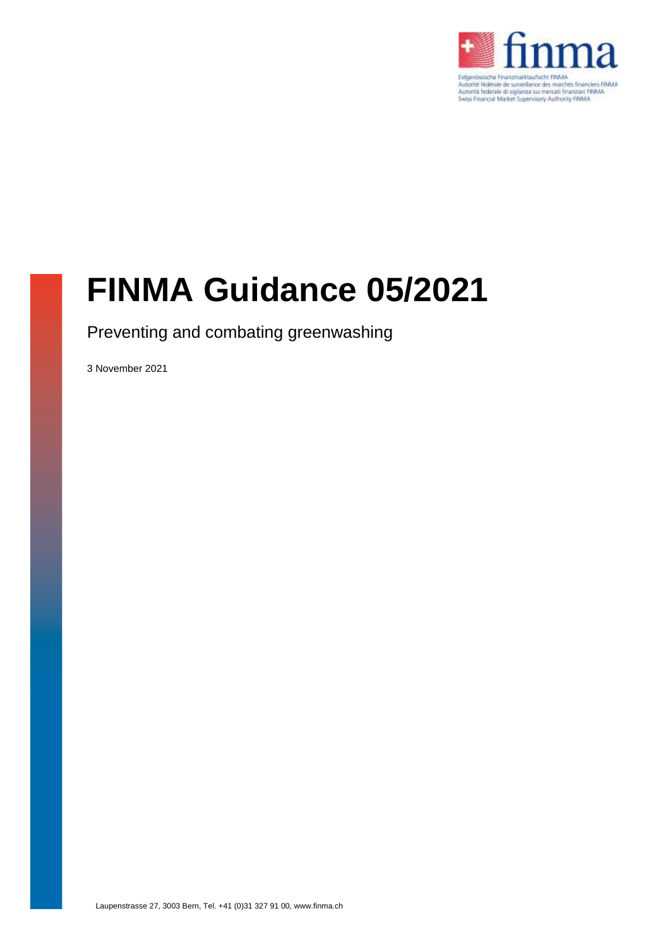

# **FINMA Guidance 05/2021**

Preventing and combating greenwashing

3 November 2021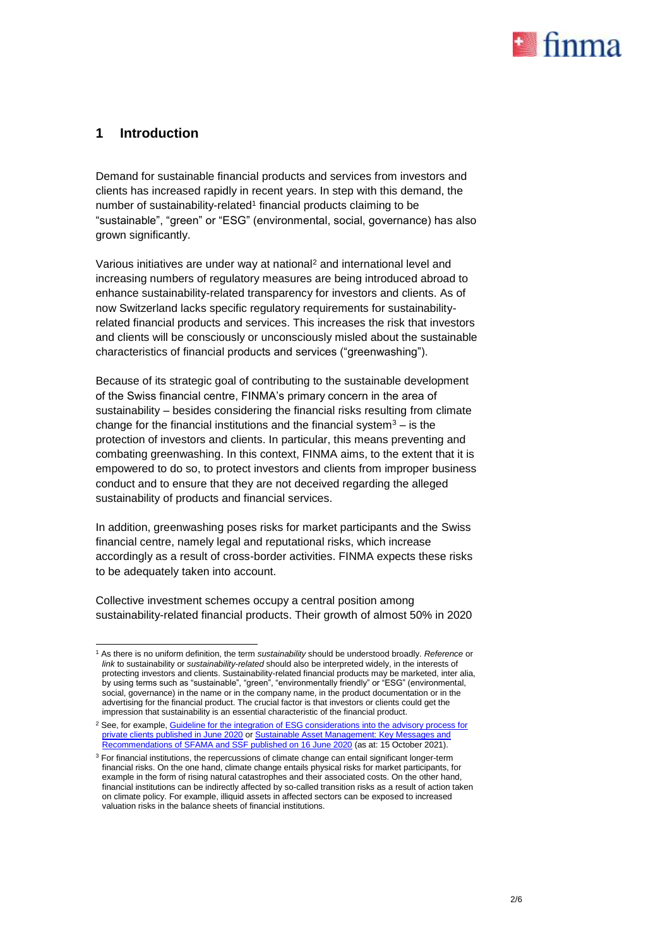

#### **1 Introduction**

Demand for sustainable financial products and services from investors and clients has increased rapidly in recent years. In step with this demand, the number of sustainability-related<sup>1</sup> financial products claiming to be "sustainable", "green" or "ESG" (environmental, social, governance) has also grown significantly.

Various initiatives are under way at national<sup>2</sup> and international level and increasing numbers of regulatory measures are being introduced abroad to enhance sustainability-related transparency for investors and clients. As of now Switzerland lacks specific regulatory requirements for sustainabilityrelated financial products and services. This increases the risk that investors and clients will be consciously or unconsciously misled about the sustainable characteristics of financial products and services ("greenwashing").

Because of its strategic goal of contributing to the sustainable development of the Swiss financial centre, FINMA's primary concern in the area of sustainability – besides considering the financial risks resulting from climate change for the financial institutions and the financial system $3 -$  is the protection of investors and clients. In particular, this means preventing and combating greenwashing. In this context, FINMA aims, to the extent that it is empowered to do so, to protect investors and clients from improper business conduct and to ensure that they are not deceived regarding the alleged sustainability of products and financial services.

In addition, greenwashing poses risks for market participants and the Swiss financial centre, namely legal and reputational risks, which increase accordingly as a result of cross-border activities. FINMA expects these risks to be adequately taken into account.

Collective investment schemes occupy a central position among sustainability-related financial products. Their growth of almost 50% in 2020

<sup>-</sup><sup>1</sup> As there is no uniform definition, the term *sustainability* should be understood broadly. *Reference* or *link* to sustainability or *sustainability-related* should also be interpreted widely, in the interests of protecting investors and clients. Sustainability-related financial products may be marketed, inter alia, by using terms such as "sustainable", "green", "environmentally friendly" or "ESG" (environmental, social, governance) in the name or in the company name, in the product documentation or in the advertising for the financial product. The crucial factor is that investors or clients could get the impression that sustainability is an essential characteristic of the financial product.

<sup>&</sup>lt;sup>2</sup> See, for example, Guideline for the integration of ESG considerations into the advisory process for [private clients](https://www.swissbanking.ch/_Resources/Persistent/5/9/3/b/593b75d1d479ddc70fff20a76991deffd9ca4bab/SBA_Guidelines_for_the_integration_of_ESG_considerations_into_the_advisory_process_for_private_clients_EN.pdf) published in June 2020 o[r Sustainable Asset Management:](https://www.sustainablefinance.ch/upload/cms/user/EN_2020_06_16_SFAMA_SSF_key_messages_and_recommendations_final.pdf) Key Messages and [Recommendations of SFAMA and SSF published on 16 June 2020](https://www.sustainablefinance.ch/upload/cms/user/EN_2020_06_16_SFAMA_SSF_key_messages_and_recommendations_final.pdf) (as at: 15 October 2021).

<sup>&</sup>lt;sup>3</sup> For financial institutions, the repercussions of climate change can entail significant longer-term financial risks. On the one hand, climate change entails physical risks for market participants, for example in the form of rising natural catastrophes and their associated costs. On the other hand, financial institutions can be indirectly affected by so-called transition risks as a result of action taken on climate policy. For example, illiquid assets in affected sectors can be exposed to increased valuation risks in the balance sheets of financial institutions.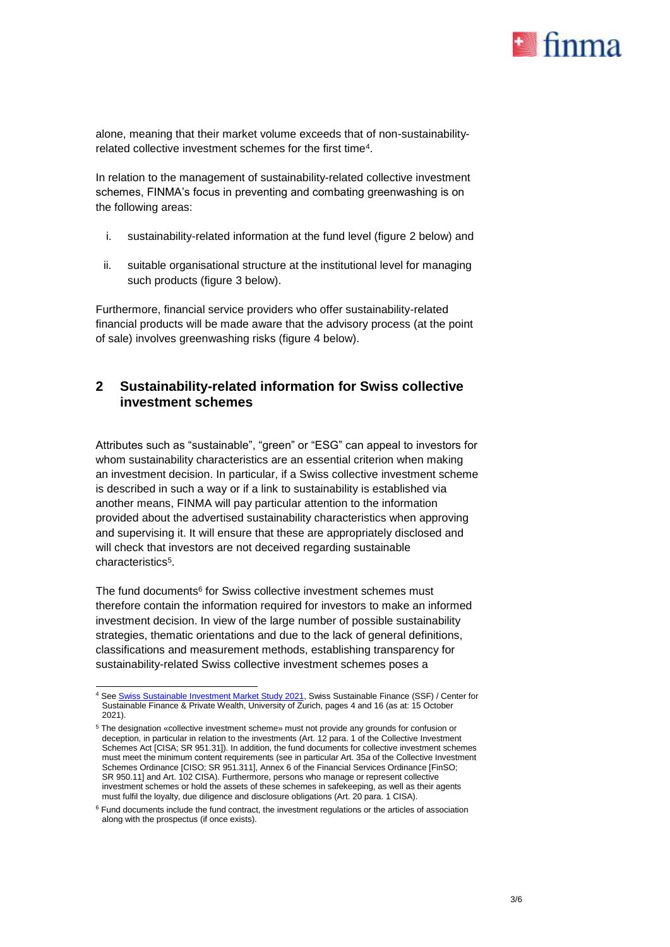

alone, meaning that their market volume exceeds that of non-sustainabilityrelated collective investment schemes for the first time<sup>4</sup>.

In relation to the management of sustainability-related collective investment schemes, FINMA's focus in preventing and combating greenwashing is on the following areas:

- i. sustainability-related information at the fund level (figure [2](#page-2-0) below) and
- ii. suitable organisational structure at the institutional level for managing such products (figure [3](#page-4-0) below).

Furthermore, financial service providers who offer sustainability-related financial products will be made aware that the advisory process (at the point of sale) involves greenwashing risks (figure [4](#page-4-1) below).

#### <span id="page-2-0"></span>**2 Sustainability-related information for Swiss collective investment schemes**

Attributes such as "sustainable", "green" or "ESG" can appeal to investors for whom sustainability characteristics are an essential criterion when making an investment decision. In particular, if a Swiss collective investment scheme is described in such a way or if a link to sustainability is established via another means, FINMA will pay particular attention to the information provided about the advertised sustainability characteristics when approving and supervising it. It will ensure that these are appropriately disclosed and will check that investors are not deceived regarding sustainable characteristics<sup>5</sup>.

The fund documents<sup>6</sup> for Swiss collective investment schemes must therefore contain the information required for investors to make an informed investment decision. In view of the large number of possible sustainability strategies, thematic orientations and due to the lack of general definitions, classifications and measurement methods, establishing transparency for sustainability-related Swiss collective investment schemes poses a

<sup>4</sup> Se[e Swiss Sustainable Investment Market Study 2021,](https://marketstudy2021.sustainablefinance.ch/downloads/SSF_2021_MS_full_144dpi.pdf) Swiss Sustainable Finance (SSF) / Center for Sustainable Finance & Private Wealth, University of Zurich, pages 4 and 16 (as at: 15 October 2021).

<sup>5</sup> The designation «collective investment scheme» must not provide any grounds for confusion or deception, in particular in relation to the investments (Art. 12 para. 1 of the Collective Investment Schemes Act [CISA; SR 951.31]). In addition, the fund documents for collective investment schemes must meet the minimum content requirements (see in particular Art. 35*a* of the Collective Investment Schemes Ordinance [CISO; SR 951.311], Annex 6 of the Financial Services Ordinance [FinSO; SR 950.11] and Art. 102 CISA). Furthermore, persons who manage or represent collective investment schemes or hold the assets of these schemes in safekeeping, as well as their agents must fulfil the loyalty, due diligence and disclosure obligations (Art. 20 para. 1 CISA).

 $6$  Fund documents include the fund contract, the investment regulations or the articles of association along with the prospectus (if once exists).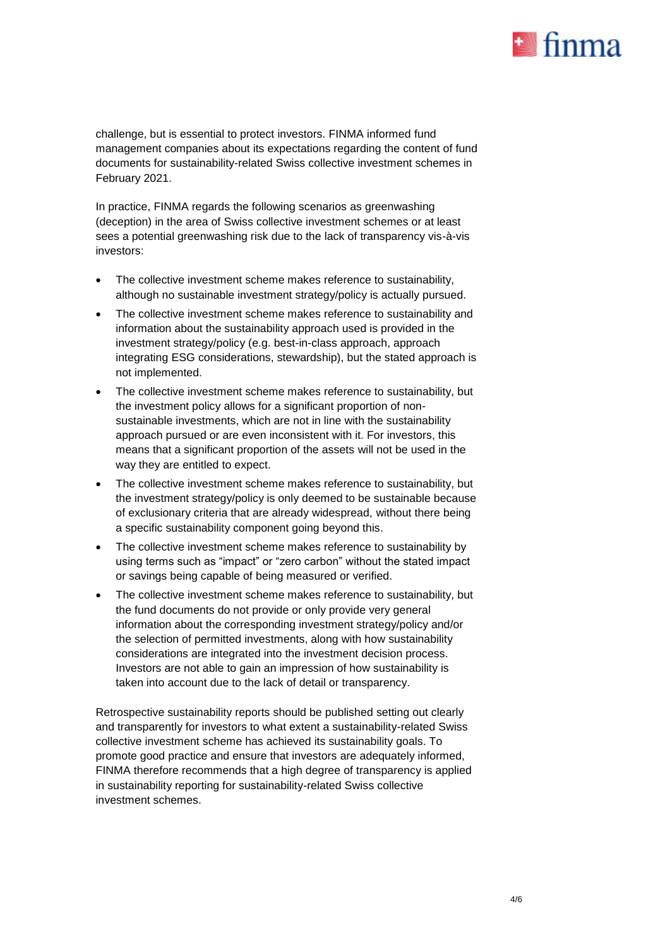

challenge, but is essential to protect investors. FINMA informed fund management companies about its expectations regarding the content of fund documents for sustainability-related Swiss collective investment schemes in February 2021.

In practice, FINMA regards the following scenarios as greenwashing (deception) in the area of Swiss collective investment schemes or at least sees a potential greenwashing risk due to the lack of transparency vis-à-vis investors:

- The collective investment scheme makes reference to sustainability, although no sustainable investment strategy/policy is actually pursued.
- The collective investment scheme makes reference to sustainability and information about the sustainability approach used is provided in the investment strategy/policy (e.g. best-in-class approach, approach integrating ESG considerations, stewardship), but the stated approach is not implemented.
- The collective investment scheme makes reference to sustainability, but the investment policy allows for a significant proportion of nonsustainable investments, which are not in line with the sustainability approach pursued or are even inconsistent with it. For investors, this means that a significant proportion of the assets will not be used in the way they are entitled to expect.
- The collective investment scheme makes reference to sustainability, but the investment strategy/policy is only deemed to be sustainable because of exclusionary criteria that are already widespread, without there being a specific sustainability component going beyond this.
- The collective investment scheme makes reference to sustainability by using terms such as "impact" or "zero carbon" without the stated impact or savings being capable of being measured or verified.
- The collective investment scheme makes reference to sustainability, but the fund documents do not provide or only provide very general information about the corresponding investment strategy/policy and/or the selection of permitted investments, along with how sustainability considerations are integrated into the investment decision process. Investors are not able to gain an impression of how sustainability is taken into account due to the lack of detail or transparency.

Retrospective sustainability reports should be published setting out clearly and transparently for investors to what extent a sustainability-related Swiss collective investment scheme has achieved its sustainability goals. To promote good practice and ensure that investors are adequately informed, FINMA therefore recommends that a high degree of transparency is applied in sustainability reporting for sustainability-related Swiss collective investment schemes.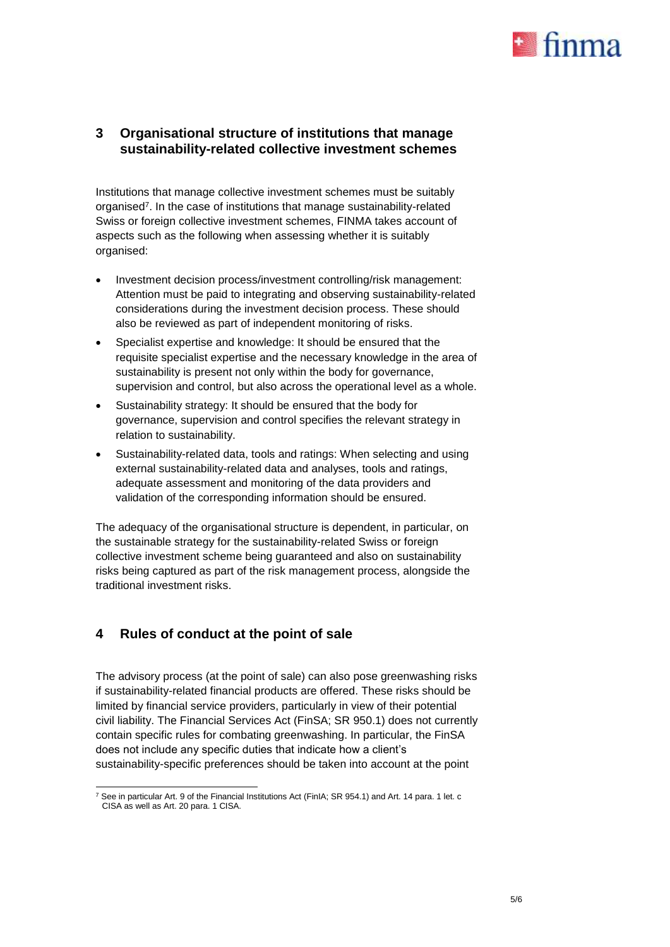

#### <span id="page-4-0"></span>**3 Organisational structure of institutions that manage sustainability-related collective investment schemes**

Institutions that manage collective investment schemes must be suitably organised<sup>7</sup>. In the case of institutions that manage sustainability-related Swiss or foreign collective investment schemes, FINMA takes account of aspects such as the following when assessing whether it is suitably organised:

- Investment decision process/investment controlling/risk management: Attention must be paid to integrating and observing sustainability-related considerations during the investment decision process. These should also be reviewed as part of independent monitoring of risks.
- Specialist expertise and knowledge: It should be ensured that the requisite specialist expertise and the necessary knowledge in the area of sustainability is present not only within the body for governance, supervision and control, but also across the operational level as a whole.
- Sustainability strategy: It should be ensured that the body for governance, supervision and control specifies the relevant strategy in relation to sustainability.
- Sustainability-related data, tools and ratings: When selecting and using external sustainability-related data and analyses, tools and ratings, adequate assessment and monitoring of the data providers and validation of the corresponding information should be ensured.

The adequacy of the organisational structure is dependent, in particular, on the sustainable strategy for the sustainability-related Swiss or foreign collective investment scheme being guaranteed and also on sustainability risks being captured as part of the risk management process, alongside the traditional investment risks.

## <span id="page-4-1"></span>**4 Rules of conduct at the point of sale**

The advisory process (at the point of sale) can also pose greenwashing risks if sustainability-related financial products are offered. These risks should be limited by financial service providers, particularly in view of their potential civil liability. The Financial Services Act (FinSA; SR 950.1) does not currently contain specific rules for combating greenwashing. In particular, the FinSA does not include any specific duties that indicate how a client's sustainability-specific preferences should be taken into account at the point

<sup>-</sup><sup>7</sup> See in particular Art. 9 of the Financial Institutions Act (FinIA; SR 954.1) and Art. 14 para. 1 let. c CISA as well as Art. 20 para. 1 CISA.